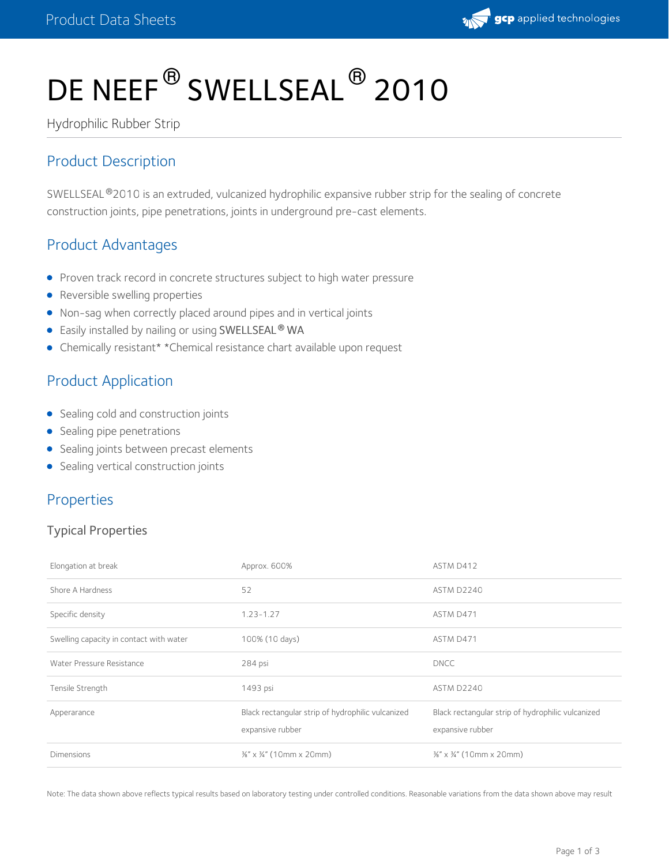

# DE NEEF $^\circledR$  SWELLSEAL  $^\circledR$  2010

Hydrophilic Rubber Strip

## Product Description

SWELLSEAL®2010 is an extruded, vulcanized hydrophilic expansive rubber strip for the sealing of concrete construction joints, pipe penetrations, joints in underground pre-cast elements.

## Product Advantages

- Proven track record in concrete structures subject to high water pressure
- Reversible swelling properties
- Non-sag when correctly placed around pipes and in vertical joints
- Easily installed by nailing or using SWELLSEAL WA **®**
- Chemically resistant\* \*Chemical resistance chart available upon request

## Product Application

- Sealing cold and construction joints
- Sealing pipe penetrations
- **•** Sealing joints between precast elements
- Sealing vertical construction joints

#### Properties

#### Typical Properties

| Elongation at break                     | Approx. 600%                                                          | ASTM D412                                                             |  |
|-----------------------------------------|-----------------------------------------------------------------------|-----------------------------------------------------------------------|--|
| Shore A Hardness                        | 52                                                                    | ASTM D2240                                                            |  |
| Specific density                        | $1.23 - 1.27$                                                         | ASTM D471                                                             |  |
| Swelling capacity in contact with water | 100% (10 days)                                                        | ASTM D471                                                             |  |
| Water Pressure Resistance               | 284 psi                                                               | <b>DNCC</b>                                                           |  |
| Tensile Strength                        | 1493 psi                                                              | ASTM D2240                                                            |  |
| Apperarance                             | Black rectangular strip of hydrophilic vulcanized<br>expansive rubber | Black rectangular strip of hydrophilic vulcanized<br>expansive rubber |  |
| <b>Dimensions</b>                       | $\frac{3}{8}$ " x $\frac{3}{4}$ " (10mm x 20mm)                       | $\frac{36}{8}$ " x $\frac{34}{4}$ " (10mm x 20mm)                     |  |

Note: The data shown above reflects typical results based on laboratory testing under controlled conditions. Reasonable variations from the data shown above may result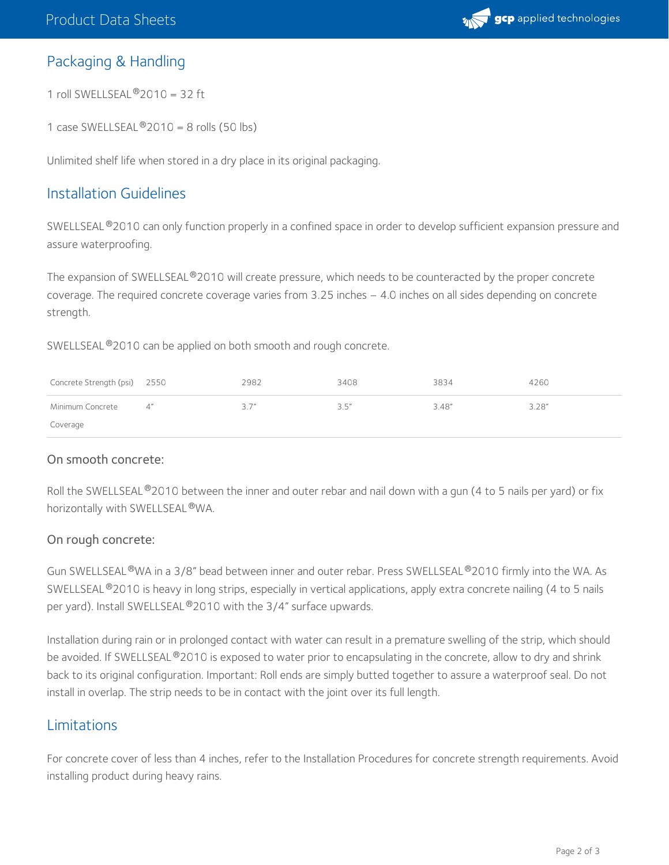

#### Packaging & Handling

1 roll SWELLSEAL $^{\circledR}$ 2010 = 32 ft

1 case SWELLSEAL $^{\circledR}$ 2010 = 8 rolls (50 lbs)

Unlimited shelf life when stored in a dry place in its original packaging.

#### Installation Guidelines

SWELLSEAL®2010 can only function properly in a confined space in order to develop sufficient expansion pressure and assure waterproofing.

The expansion of SWELLSEAL®2010 will create pressure, which needs to be counteracted by the proper concrete coverage. The required concrete coverage varies from 3.25 inches – 4.0 inches on all sides depending on concrete strength.

SWELLSEAL®2010 can be applied on both smooth and rough concrete.

| Concrete Strength (psi) 2550 |    | 2982 | 3408  | 3834   | 4260   |
|------------------------------|----|------|-------|--------|--------|
| Minimum Concrete             | Δ″ | 3.7" | 3.5'' | 3.48'' | 3.28'' |
| Coverage                     |    |      |       |        |        |

#### On smooth concrete:

Roll the SWELLSEAL®2010 between the inner and outer rebar and nail down with a gun (4 to 5 nails per yard) or fix horizontally with SWELLSEAL ®WA.

#### On rough concrete:

Gun SWELLSEAL®WA in a 3/8" bead between inner and outer rebar. Press SWELLSEAL®2010 firmly into the WA. As SWELLSEAL®2010 is heavy in long strips, especially in vertical applications, apply extra concrete nailing (4 to 5 nails per yard). Install SWELLSEAL®2010 with the 3/4" surface upwards.

Installation during rain or in prolonged contact with water can result in a premature swelling of the strip, which should be avoided. If SWELLSEAL®2010 is exposed to water prior to encapsulating in the concrete, allow to dry and shrink back to its original configuration. Important: Roll ends are simply butted together to assure a waterproof seal. Do not install in overlap. The strip needs to be in contact with the joint over its full length.

#### Limitations

For concrete cover of less than 4 inches, refer to the Installation Procedures for concrete strength requirements. Avoid installing product during heavy rains.